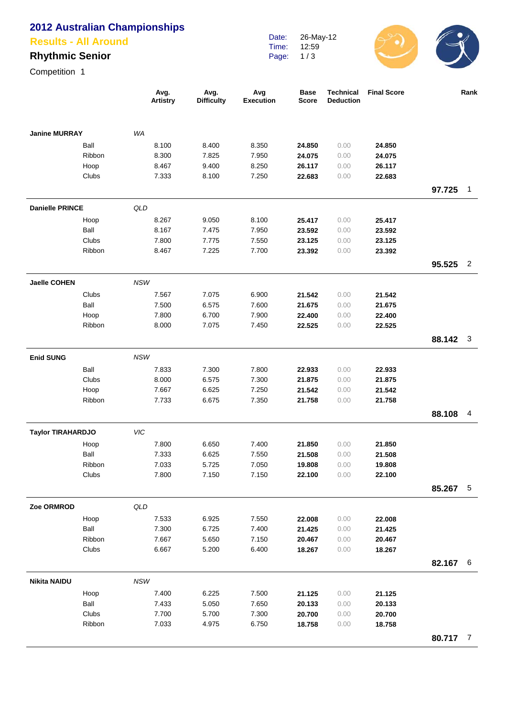# **2012 Australian Championships**

#### **Results - All Around**

## **Rhythmic Senior**

Competition 1

|                          |        |            | Avg.<br><b>Artistry</b> | Avg.<br><b>Difficulty</b> | Avg<br><b>Execution</b> | <b>Base</b><br><b>Score</b> | <b>Technical</b><br><b>Deduction</b> | <b>Final Score</b> |          | Rank |
|--------------------------|--------|------------|-------------------------|---------------------------|-------------------------|-----------------------------|--------------------------------------|--------------------|----------|------|
| <b>Janine MURRAY</b>     |        | <b>WA</b>  |                         |                           |                         |                             |                                      |                    |          |      |
|                          | Ball   |            | 8.100                   | 8.400                     | 8.350                   | 24.850                      | 0.00                                 | 24.850             |          |      |
|                          | Ribbon |            | 8.300                   | 7.825                     | 7.950                   | 24.075                      | 0.00                                 | 24.075             |          |      |
|                          | Hoop   |            | 8.467                   | 9.400                     | 8.250                   | 26.117                      | 0.00                                 | 26.117             |          |      |
|                          | Clubs  |            | 7.333                   | 8.100                     | 7.250                   | 22.683                      | 0.00                                 | 22.683             |          |      |
|                          |        |            |                         |                           |                         |                             |                                      |                    | 97.725   | 1    |
| <b>Danielle PRINCE</b>   |        | QLD        |                         |                           |                         |                             |                                      |                    |          |      |
|                          | Hoop   |            | 8.267                   | 9.050                     | 8.100                   | 25.417                      | 0.00                                 | 25.417             |          |      |
|                          | Ball   |            | 8.167                   | 7.475                     | 7.950                   | 23.592                      | 0.00                                 | 23.592             |          |      |
|                          | Clubs  |            | 7.800                   | 7.775                     | 7.550                   | 23.125                      | 0.00                                 | 23.125             |          |      |
|                          | Ribbon |            | 8.467                   | 7.225                     | 7.700                   | 23.392                      | 0.00                                 | 23.392             |          |      |
|                          |        |            |                         |                           |                         |                             |                                      |                    | 95.525   | 2    |
| <b>Jaelle COHEN</b>      |        | <b>NSW</b> |                         |                           |                         |                             |                                      |                    |          |      |
|                          | Clubs  |            | 7.567                   | 7.075                     | 6.900                   | 21.542                      | 0.00                                 | 21.542             |          |      |
|                          | Ball   |            | 7.500                   | 6.575                     | 7.600                   | 21.675                      | 0.00                                 | 21.675             |          |      |
|                          | Hoop   |            | 7.800                   | 6.700                     | 7.900                   | 22.400                      | 0.00                                 | 22.400             |          |      |
|                          | Ribbon |            | 8.000                   | 7.075                     | 7.450                   | 22.525                      | 0.00                                 | 22.525             |          |      |
|                          |        |            |                         |                           |                         |                             |                                      |                    | 88.142   | 3    |
| <b>Enid SUNG</b>         |        | <b>NSW</b> |                         |                           |                         |                             |                                      |                    |          |      |
|                          | Ball   |            | 7.833                   | 7.300                     | 7.800                   | 22.933                      | 0.00                                 | 22.933             |          |      |
|                          | Clubs  |            | 8.000                   | 6.575                     | 7.300                   | 21.875                      | 0.00                                 | 21.875             |          |      |
|                          | Hoop   |            | 7.667                   | 6.625                     | 7.250                   | 21.542                      | 0.00                                 | 21.542             |          |      |
|                          | Ribbon |            | 7.733                   | 6.675                     | 7.350                   | 21.758                      | 0.00                                 | 21.758             |          |      |
|                          |        |            |                         |                           |                         |                             |                                      |                    | 88.108   | 4    |
| <b>Taylor TIRAHARDJO</b> |        | <b>VIC</b> |                         |                           |                         |                             |                                      |                    |          |      |
|                          | Hoop   |            | 7.800                   | 6.650                     | 7.400                   | 21.850                      | 0.00                                 | 21.850             |          |      |
|                          | Ball   |            | 7.333                   | 6.625                     | 7.550                   | 21.508                      | 0.00                                 | 21.508             |          |      |
|                          | Ribbon |            | 7.033                   | 5.725                     | 7.050                   | 19.808                      | 0.00                                 | 19.808             |          |      |
|                          | Clubs  |            | 7.800                   | 7.150                     | 7.150                   | 22.100                      | 0.00                                 | 22.100             |          |      |
|                          |        |            |                         |                           |                         |                             |                                      |                    | 85.267   | $-5$ |
| Zoe ORMROD               |        | QLD        |                         |                           |                         |                             |                                      |                    |          |      |
|                          | Hoop   |            | 7.533                   | 6.925                     | 7.550                   | 22.008                      | 0.00                                 | 22.008             |          |      |
|                          | Ball   |            | 7.300                   | 6.725                     | 7.400                   | 21.425                      | 0.00                                 | 21.425             |          |      |
|                          | Ribbon |            | 7.667                   | 5.650                     | 7.150                   | 20.467                      | 0.00                                 | 20.467             |          |      |
|                          | Clubs  |            | 6.667                   | 5.200                     | 6.400                   | 18.267                      | 0.00                                 | 18.267             |          | 6    |
|                          |        |            |                         |                           |                         |                             |                                      |                    | 82.167   |      |
| <b>Nikita NAIDU</b>      | Hoop   | NSW        | 7.400                   | 6.225                     | 7.500                   | 21.125                      | 0.00                                 | 21.125             |          |      |
|                          | Ball   |            | 7.433                   | 5.050                     | 7.650                   | 20.133                      | 0.00                                 | 20.133             |          |      |
|                          | Clubs  |            | 7.700                   | 5.700                     | 7.300                   | 20.700                      | 0.00                                 | 20.700             |          |      |
|                          | Ribbon |            | 7.033                   | 4.975                     | 6.750                   | 18.758                      | 0.00                                 | 18.758             |          |      |
|                          |        |            |                         |                           |                         |                             |                                      |                    | 80.717 7 |      |

Date: Time: Page: 26-May-12 12:59 1 / 3

 $\mathcal{S}(\mathbf{C})$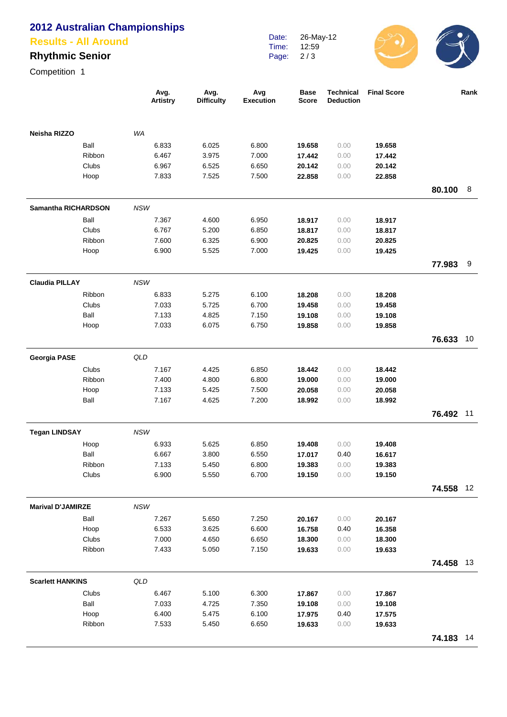## **2012 Australian Championships**

#### **Results - All Around**

## **Rhythmic Senior**

Competition 1

|                            |                 |            | Avg.<br><b>Artistry</b> | Avg.<br><b>Difficulty</b> | Avg<br><b>Execution</b> | <b>Base</b><br>Score | <b>Technical</b><br><b>Deduction</b> | <b>Final Score</b> |           | Rank |
|----------------------------|-----------------|------------|-------------------------|---------------------------|-------------------------|----------------------|--------------------------------------|--------------------|-----------|------|
| Neisha RIZZO               |                 | WA         |                         |                           |                         |                      |                                      |                    |           |      |
|                            | Ball            |            | 6.833                   | 6.025                     | 6.800                   | 19.658               | 0.00                                 | 19.658             |           |      |
|                            | Ribbon          |            | 6.467                   | 3.975                     | 7.000                   | 17.442               | 0.00                                 | 17.442             |           |      |
|                            | Clubs           |            | 6.967                   | 6.525                     | 6.650                   | 20.142               | 0.00                                 | 20.142             |           |      |
|                            | Hoop            |            | 7.833                   | 7.525                     | 7.500                   | 22.858               | 0.00                                 | 22.858             |           |      |
|                            |                 |            |                         |                           |                         |                      |                                      |                    | 80.100    | 8    |
| <b>Samantha RICHARDSON</b> |                 | <b>NSW</b> |                         |                           |                         |                      |                                      |                    |           |      |
|                            | Ball            |            | 7.367                   | 4.600                     | 6.950                   | 18.917               | 0.00                                 | 18.917             |           |      |
|                            | Clubs           |            | 6.767                   | 5.200                     | 6.850                   | 18.817               | 0.00                                 | 18.817             |           |      |
|                            | Ribbon          |            | 7.600                   | 6.325                     | 6.900                   | 20.825               | 0.00                                 | 20.825             |           |      |
|                            | Hoop            |            | 6.900                   | 5.525                     | 7.000                   | 19.425               | 0.00                                 | 19.425             |           |      |
|                            |                 |            |                         |                           |                         |                      |                                      |                    | 77.983    | 9    |
| <b>Claudia PILLAY</b>      |                 | <b>NSW</b> |                         |                           |                         |                      |                                      |                    |           |      |
|                            | Ribbon          |            | 6.833                   | 5.275                     | 6.100                   | 18.208               | 0.00                                 | 18.208             |           |      |
|                            | Clubs           |            | 7.033                   | 5.725                     | 6.700                   | 19.458               | 0.00                                 | 19.458             |           |      |
|                            | Ball            |            | 7.133                   | 4.825                     | 7.150                   | 19.108               | 0.00                                 | 19.108             |           |      |
|                            | Hoop            |            | 7.033                   | 6.075                     | 6.750                   | 19.858               | 0.00                                 | 19.858             |           |      |
|                            |                 |            |                         |                           |                         |                      |                                      |                    | 76.633    | 10   |
| <b>Georgia PASE</b>        |                 | QLD        |                         |                           |                         |                      |                                      |                    |           |      |
|                            | Clubs           |            | 7.167                   | 4.425                     | 6.850                   | 18.442               | 0.00                                 | 18.442             |           |      |
|                            | Ribbon          |            | 7.400                   | 4.800                     | 6.800                   | 19.000               | 0.00                                 | 19.000             |           |      |
|                            | Hoop            |            | 7.133                   | 5.425                     | 7.500                   | 20.058               | 0.00                                 | 20.058             |           |      |
|                            | Ball            |            | 7.167                   | 4.625                     | 7.200                   | 18.992               | 0.00                                 | 18.992             |           |      |
|                            |                 |            |                         |                           |                         |                      |                                      |                    | 76.492    | 11   |
| <b>Tegan LINDSAY</b>       |                 | <b>NSW</b> |                         |                           |                         |                      |                                      |                    |           |      |
|                            | Hoop            |            | 6.933                   | 5.625                     | 6.850                   | 19.408               | 0.00                                 | 19.408             |           |      |
|                            | Ball            |            | 6.667                   | 3.800                     | 6.550                   | 17.017               | 0.40                                 | 16.617             |           |      |
|                            |                 |            |                         | 5.450                     |                         |                      |                                      |                    |           |      |
|                            | Ribbon<br>Clubs |            | 7.133<br>6.900          | 5.550                     | 6.800<br>6.700          | 19.383<br>19.150     | 0.00<br>0.00                         | 19.383<br>19.150   |           |      |
|                            |                 |            |                         |                           |                         |                      |                                      |                    | 74.558 12 |      |
|                            |                 | <b>NSW</b> |                         |                           |                         |                      |                                      |                    |           |      |
| <b>Marival D'JAMIRZE</b>   |                 |            |                         |                           |                         |                      |                                      |                    |           |      |
|                            | Ball            |            | 7.267                   | 5.650                     | 7.250                   | 20.167               | 0.00                                 | 20.167             |           |      |
|                            | Hoop            |            | 6.533                   | 3.625                     | 6.600                   | 16.758               | 0.40                                 | 16.358             |           |      |
|                            | Clubs           |            | 7.000                   | 4.650                     | 6.650                   | 18.300               | 0.00                                 | 18.300             |           |      |
|                            | Ribbon          |            | 7.433                   | 5.050                     | 7.150                   | 19.633               | 0.00                                 | 19.633             | 74.458 13 |      |
|                            |                 |            |                         |                           |                         |                      |                                      |                    |           |      |
| <b>Scarlett HANKINS</b>    |                 | QLD        |                         |                           |                         |                      |                                      |                    |           |      |
|                            | Clubs           |            | 6.467                   | 5.100                     | 6.300                   | 17.867               | 0.00                                 | 17.867             |           |      |
|                            | Ball            |            | 7.033                   | 4.725                     | 7.350                   | 19.108               | 0.00                                 | 19.108             |           |      |
|                            | Hoop            |            | 6.400                   | 5.475                     | 6.100                   | 17.975               | 0.40                                 | 17.575             |           |      |
|                            | Ribbon          |            | 7.533                   | 5.450                     | 6.650                   | 19.633               | 0.00                                 | 19.633             |           |      |
|                            |                 |            |                         |                           |                         |                      |                                      |                    | 74.183 14 |      |

Date: Time: Page: 26-May-12 12:59 2 / 3

 $\mathcal{S}(\mathbf{C})$